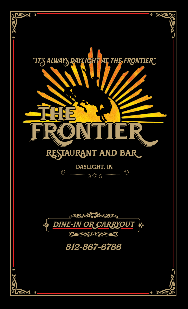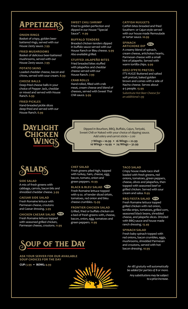# **APPETIZERS** SWEET CHILI SHRIMP

#### **ONION RINGS**

Basket of crispy, golden beerbattered rings, served with our House Zesty sauce. **7.99**

# **FRIED MUSHROOMS**

Basket of delicious beer-battered mushrooms, served with our House Zesty sauce. **7.99**

## **POTATO SKINS**

Loaded cheddar cheese, bacon and chives, served with sour cream. **8.99**

#### **CHEESE BALLS**

Deep-fried cheese balls in your choice of Pepper Jack, cheddar or mixed and served with House Ranch. **6.99**

# **FRIED PICKLES**

Hand-breaded pickle slices deep-fried and served with our House Ranch. **6.99**



Fried to golden perfection and dipped in our House "Special Sauce". **11.99**

### **BUFFALO TENDERS**

Breaded chicken tenders dipped in buffalo sauce served with our House Ranch or Bleu cheese. **9.99** *Also available grilled.* 

# **STUFFED JALAPEÑO BITES**

Fried breaded bites stuffed with jalapeños and cheddar cheese served with our House Ranch. **7.99**

#### **CRAB ROLLS**

Hand-rolled, filled with crab meat, cream cheese and blend of cheeses, served with Sweet Thai Chili sauce. **9.99**

### **CATFISH NUGGETS**

Catfish bites breaded and fried Southern- or Cajun-style served with our house made Remoulade or tartar sauce. **10.99**

#### **SPINACH ARTICHOKE DIP NEW**

A creamy blend of spinach, cream cheese, artichokes hearts, Parmesan cheese with a small hint of jalapeño. Served with warm tortilla chips. **9.99**

#### **GEEZ O'PETE PRETZEL**

IT'S HUGE! Buttered and salted soft pretzel, baked golden brown and comes with a side of Nacho cheese. Serves about 4-5 people. **13.99**

*Substitute Hot Beer Cheese for an additional 1.99*

Dipped in Bourbon, BBQ, Buffalo, Cajun, Teriyaki, Sweet Chili or Naked with your choice of dipping sauce. *Add celery and carrot sticks ~ 2.00*

> **7 Wings ~ 10.99 • 16 Wings ~ 22.99 10 Wings ~ 14.99 • 24 Wings ~ 32.99**



#### **SIDE SALAD**

A mix of fresh greens with cabbage, carrots, bacon bits and shredded cheddar cheese. **3.99**

#### **CAESAR SIDE SALAD**

Fresh Romaine lettuce with Parmesan cheese, croutons and Caesar dressing. **3.99**

# **CHICKEN CAESAR SALAD** New

Fresh Romaine lettuce topped with seasoned grilled chicken, Parmesan cheese, croutons. **11.99** **CHEF SALAD**

with turkey, ham, cheese, egg, bacon, tomato, onion and green peppers. **10.99**

#### **BLACK & BLEU SALAD**

Fresh Romaine lettuce topped with 9 oz. of tender sliced sirloin, tomatoes, red onion and bleu cheese crumbles. **15.99**

#### **FRONTIER CHICKEN SALAD**

Grilled, fried or buffalo chicken on a bed of fresh greens with, cheese, bacon, onion, egg, tomatoes and green peppers. **11.99**

Crispy house made taco shell loaded with fresh greens, red onions, tomatoes, green peppers, cheese, olives and jalapeños, then topped with seasoned beef or grilled chicken. Served with sour cream and salsa. **8.99**

#### **BBQ FIESTA SALAD** New

Fresh Romaine lettuce topped grilled chicken with red onion, tortilla strips, tomatoes, grilled corn, seasoned black beans, shredded cheese, and jalapeño slices. Drizzled with BBQ sauce and house made ranch dressing. **13.49**

### **SPINACH SALAD**

Fresh baby spinach topped with red onions, bacon crumbles, eggs, mushrooms, shredded Parmesan and croutons, served with hot bacon dressing. **10.99**

# OUP OF THE DAY

**ASK YOUR SERVER FOR OUR AVAILABLE SOUP CHOICES FOR THE DAY**



*be added for parties of 8 or more.*

*Any substitutions may be subject to a price increase.*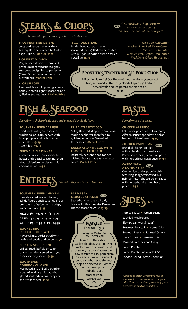# EAKS & CHOP

*Served with your choice of potato and side salad.*

#### **14 OZ FRONTIER RIB EYE**

Juicy and tender steak with rich buttery flavor in every bite. Grilled as you like it. **Market Price**

#### **8 OZ FILET MIGNON**

Very tender, delicious barrel-cut premium beef tenderloin, lightly seasoned and grilled to perfection. ("Well Done" requires filet to be butterflied) **Market Price**

#### **12 OZ SIRLOIN**

Lean and flavorful upper 2/3 choice hand-cut steak, lightly seasoned and grilled as you request. **Market Price**

#### **12 OZ PORK STEAK**

Tender hand-cut pork steak, seasoned then grilled can be coated with BBQ or Chipotle bourbon sauce if you like! **11.99**

*hand-selected and cut by The Old-Fashioned Butcher Shoppe."*

 *"Our steaks and chops are now* 

*Rare: Cool Red Center Medium Rare: Red, Warm Center Medium: Pink Center Medium Well: Slightly Pink Center Well-Done: Grilled Throughout* 

# Frontier's "Porterhouse" Pork Chop

**NEW** 

**A Frontier Favorite!** Our thick-cut mouthwatering center-cut chop, seasoned with a tasty blend of spices, grilled and served with a baked potato and side salad.

**22.99**



*Served with choice of side salad and one additional side item.*

### **SOUTHERN FRIED CATFISH**

Fried fillets with your choice of traditional or Cajun, served with hush puppies and tartar sauce. One Fillet **~ 13.99**  Two Fillet **~ 16.99**

#### **FRIED SHRIMP DINNER**

Coated in our in house made beer batter and special seasoning, then fried golden brown. Served with cocktail sauce. **16.99**

## **FRIED ATLANTIC COD**

Mildly flavored, dipped in our house made beer batter then fried to golden perfection. Served with tartar sauce. **Market Price**

#### **BAKED ATLANTIC COD WITH LEMON BUTTER SAUCE**

Delicately seasoned cod topped with our house made lemon butter sauce. **Market Price**

# ENTREES *Served with your choice of two sides.*

## **SOUTHERN FRIED CHICKEN**

Hand-breaded tender chicken, lightly floured and seasoned in our own blend of spices with a crispy golden outside. **9.99**

**MIXED: 1/4 ~ 10.99 • 1/2 ~ 13.99 DARK: 1/4 ~ 9.99 • 1/2 ~ 12.99 WHITE: 1/4 ~ 11.99 • 1/2 ~ 14.99**

**SMOKED BBQ PULLED PORK PLATTER** Flavorful BBQ pork served with rye bread, pickle and onion. **14.99**

## **CHICKEN STRIP DINNER**

Grilled, fried, buffalo or Cajun chicken tenders served with your choice dipping sauce. **13.99**

### **SMOTHERED BOURBON CHICKEN**

Marinated and grilled, served on a bed of wild rice with bourbon glazed sautéed onions, peppers and Swiss cheese. **15.99**

# **PARMESAN**

**CRUSTED CHICKEN** NewSeared chicken breast lightly breaded with a flavorful Parmesan cheese seasoned crust. **15.99**



A 16-18 oz. thick slice of well-marbled roasted Prime Rib rubbed with our house blend of savory herbs and spices then slow-roasted to juicy perfection. Served in au jus with a side of our creamy horseradish sauce or plain horseradish. Comes with a baked potato and side salad.

**Market Price**  *Extra Au Jus: 79¢*

# PASTA

*Served with a side salad.*

#### **CHICKEN ALFREDO**

Fettuccine pasta coated in creamy Alfredo sauce topped with Italian herbed chicken breast. **15.99**

# **CHICKEN PARMESAN**

Breaded chicken topped with a blend of mozzarella and Parmesan cheese, served on pasta with herbed marinara sauce. **15.99**

#### **CARBONARA A LA FRONTIER**

Our version of this popular dish featuring spaghetti tossed in a rich Parmesan cheese cream sauce with herbed chicken and bacon pieces. **15.99**



Apples Sauce **•** Green Beans Sautéed Mushrooms Slaw (creamy or vinegar) Steamed Broccoli **•** Home Chips Seafood Pasta **•** Sauteed Onions French Fries **•** German Fries Mashed Potatoes and Gravy Baked Potato Sweet Potato Fries ~ add 1.00

Loaded Baked Potato ~ add 1.00

*\*Cooked to order. Consuming raw or undercooked meats may increase your risk of food borne illness, especially if you have certain medical conditions.*